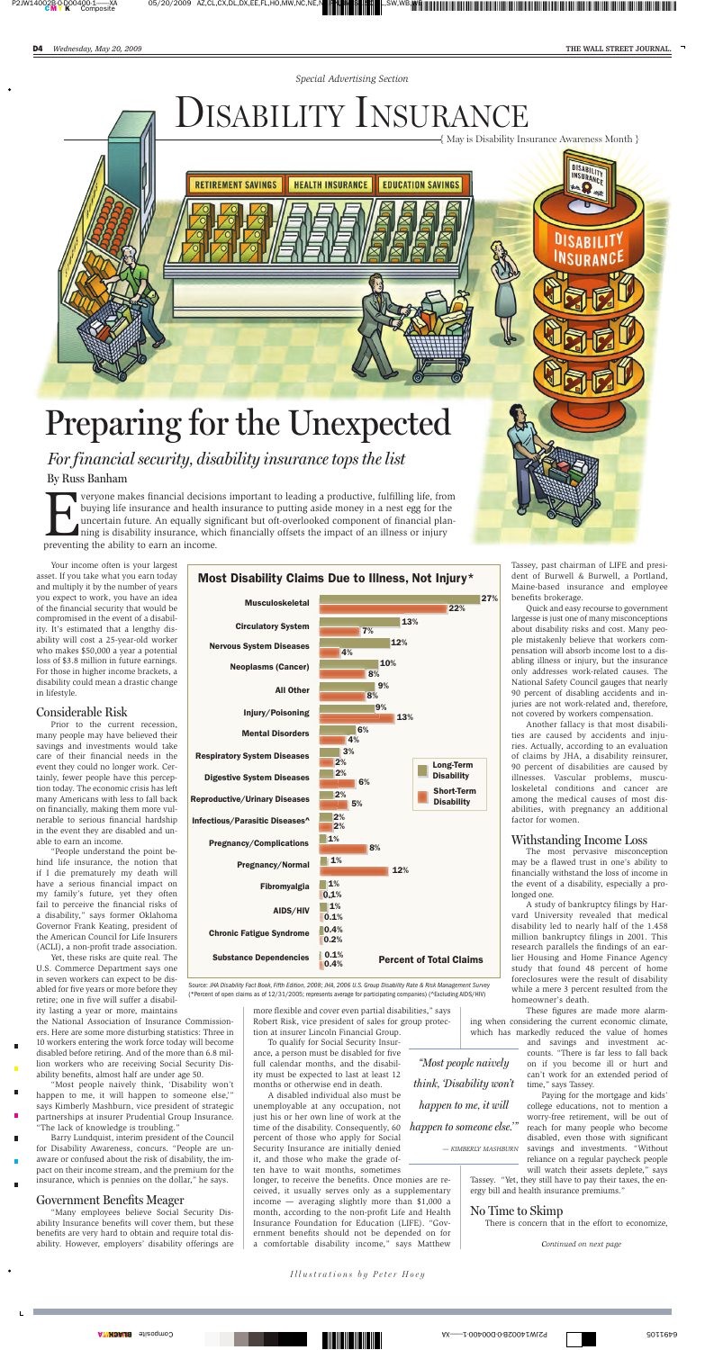*Special Advertising Section*

*Your income often is your largest asset. If you take what you earn today and multiply it by the number of years you expect to work, you have an idea of the financial security that would be compromised in the event of a disability. It's estimated that a lengthy disability will cost a 25-year-old worker who makes \$50,000 a year a potential loss of \$3.8 million in future earnings. For those in higher income brackets, a disability could mean a drastic change in lifestyle.*

# *Considerable Risk*

*Prior to the current recession, many people may have believed their savings and investments would take care of their financial needs in the event they could no longer work. Certainly, fewer people have this perception today. The economic crisis has left many Americans with less to fall back on financially, making them more vulnerable to serious financial hardship in the event they are disabled and unable to earn an income. "People understand the point behind life insurance, the notion that if I die prematurely my death will have a serious financial impact on my family's future, yet they often fail to perceive the financial risks of a disability," says former Oklahoma Governor Frank Keating, president of the American Council for Life Insurers (ACLI), a non-profit trade association. Yet, these risks are quite real. The U.S. Commerce Department says one in seven workers can expect to be disabled for five years or more before they retire; one in five will suffer a disability lasting a year or more, maintains the National Association of Insurance Commissioners. Here are some more disturbing statistics: Three in 10 workers entering the work force today will become disabled before retiring. And of the more than 6.8 million workers who are receiving Social Security Disability benefits, almost half are under age 50. "Most people naively think, 'Disability won't happen to me, it will happen to someone else,'" says Kimberly Mashburn, vice president of strategic partnerships at insurer Prudential Group Insurance. "The lack of knowledge is troubling." Barry Lundquist, interim president of the Council for Disability Awareness, concurs. "People are unaware or confused about the risk of disability, the impact on their income stream, and the premium for the insurance, which is pennies on the dollar," he says.*

### *Government Benefits Meager*

*"Many employees believe Social Security Disability Insurance benefits will cover them, but these benefits are very hard to obtain and require total disability. However, employers' disability offerings are* *more flexible and cover even partial disabilities," says Robert Risk, vice president of sales for group protection at insurer Lincoln Financial Group.*

*To qualify for Social Security Insurance, a person must be disabled for five full calendar months, and the disability must be expected to last at least 12 months or otherwise end in death.*

**Everyone makes financial decisions important to leading a productive, fulfilling life, from buying life insurance and health insurance to putting aside money in a nest egg for the uncertain future. An equally significant** *buying life insurance and health insurance to putting aside money in a nest egg for the uncertain future. An equally significant but oft-overlooked component of financial planning is disability insurance, which financially offsets the impact of an illness or injury preventing the ability to earn an income.*

> *A disabled individual also must be unemployable at any occupation, not just his or her own line of work at the time of the disability. Consequently, 60 percent of those who apply for Social Security Insurance are initially denied it, and those who make the grade often have to wait months, sometimes*

*longer, to receive the benefits. Once monies are received, it usually serves only as a supplementary income — averaging slightly more than \$1,000 a month, according to the non-profit Life and Health Insurance Foundation for Education (LIFE). "Government benefits should not be depended on for a comfortable disability income," says Matthew* *Tassey, past chairman of LIFE and president of Burwell & Burwell, a Portland, Maine-based insurance and employee benefits brokerage.*

*Quick and easy recourse to government largesse is just one of many misconceptions about disability risks and cost. Many people mistakenly believe that workers compensation will absorb income lost to a disabling illness or injury, but the insurance only addresses work-related causes. The National Safety Council gauges that nearly 90 percent of disabling accidents and injuries are not work-related and, therefore, not covered by workers compensation.*

*Another fallacy is that most disabilities are caused by accidents and injuries. Actually, according to an evaluation of claims by JHA, a disability reinsurer, 90 percent of disabilities are caused by illnesses. Vascular problems, musculoskeletal conditions and cancer are among the medical causes of most disabilities, with pregnancy an additional factor for women.*

# *Withstanding Income Loss*

*The most pervasive misconception may be a flawed trust in one's ability to financially withstand the loss of income in the event of a disability, especially a prolonged one.*

*A study of bankruptcy filings by Harvard University revealed that medical disability led to nearly half of the 1.458 million bankruptcy filings in 2001. This research parallels the findings of an earlier Housing and Home Finance Agency study that found 48 percent of home foreclosures were the result of disability while a mere 3 percent resulted from the homeowner's death.*

*These figures are made more alarming when considering the current economic climate, which has markedly reduced the value of homes*

*and savings and investment accounts. "There is far less to fall back on if you become ill or hurt and can't work for an extended period of time," says Tassey.*

*Paying for the mortgage and kids' college educations, not to mention a worry-free retirement, will be out of reach for many people who become disabled, even those with significant savings and investments. "Without reliance on a regular paycheck people will watch their assets deplete," says*

*Tassey. "Yet, they still have to pay their taxes, the energy bill and health insurance premiums."*

# *No Time to Skimp*

*There is concern that in the effort to economize,*

*Continued on next page*

# *Preparing for the Unexpected*

**RETIREMENT SAVINGS** 

# DISABILITY INSURANCE

**EDUCATION SAVINGS** 

**HEALTH INSURANCE** 

Source: JHA Disability Fact Book, Fifth Edition, 2008; JHA, 2006 U.S. Group Disability Rate & Risk Management Survey (\*Percent of open claims as of 12/31/2005; represents average for participating companies) (^Excluding AIDS/HIV)

*By Russ Banham For financial security, disability insurance tops the list*



{ May is Disability Insurance Awareness Month }

DISABILITY INSURANCE

**DISABILI** 

INSURANC

*"Most people naively think, 'Disability won't happen to me, it will happen to someone else.*" *— KIMBERLY MASHBURN*